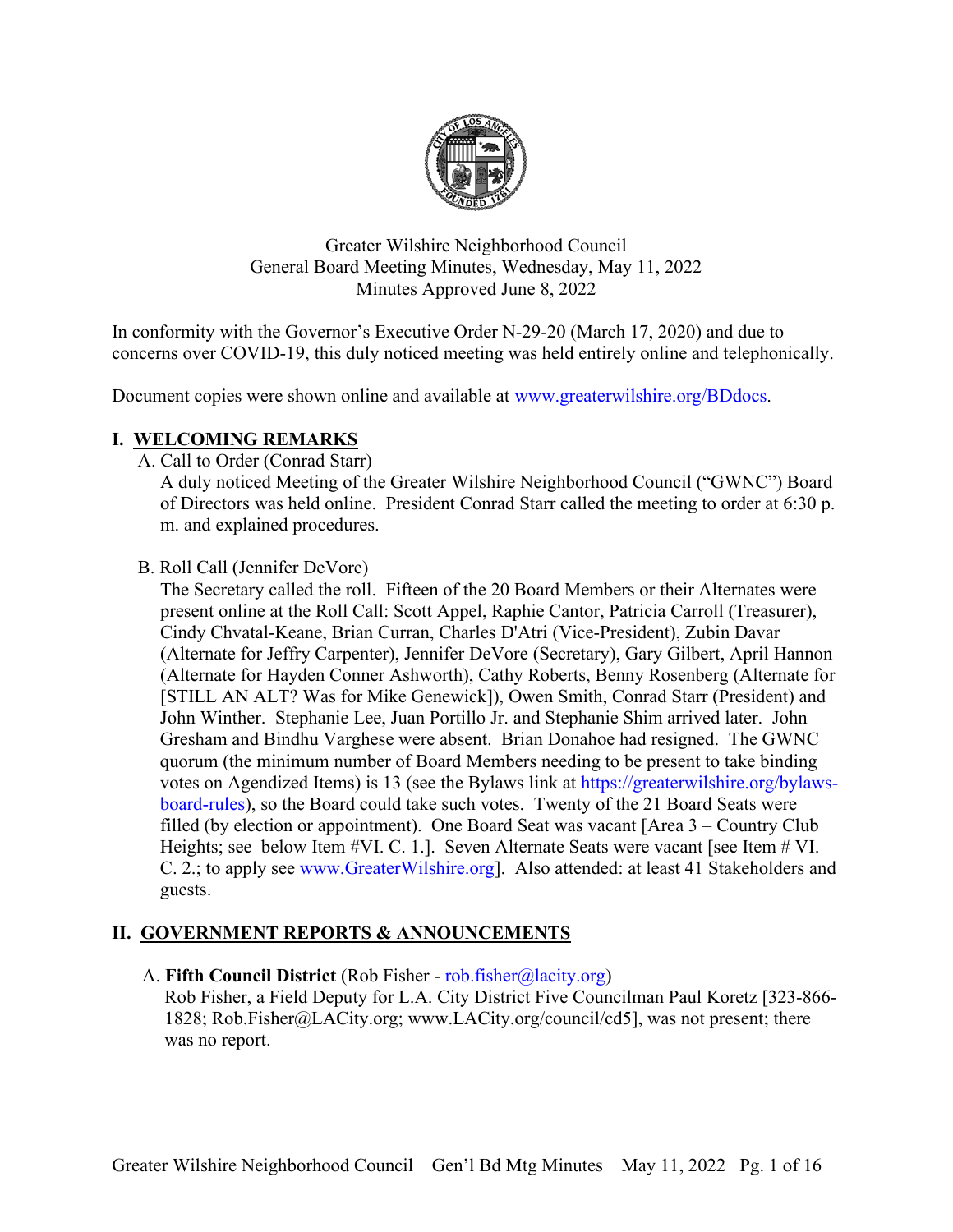

Greater Wilshire Neighborhood Council General Board Meeting Minutes, Wednesday, May 11, 2022 Minutes Approved June 8, 2022

In conformity with the Governor's Executive Order N-29-20 (March 17, 2020) and due to concerns over COVID-19, this duly noticed meeting was held entirely online and telephonically.

Document copies were shown online and available at [www.greaterwilshire.org/BDdocs.](http://www.greaterwilshire.org/BDdocs)

## **I. WELCOMING REMARKS**

A. Call to Order (Conrad Starr)

A duly noticed Meeting of the Greater Wilshire Neighborhood Council ("GWNC") Board of Directors was held online. President Conrad Starr called the meeting to order at 6:30 p. m. and explained procedures.

#### B. Roll Call (Jennifer DeVore)

The Secretary called the roll. Fifteen of the 20 Board Members or their Alternates were present online at the Roll Call: Scott Appel, Raphie Cantor, Patricia Carroll (Treasurer), Cindy Chvatal-Keane, Brian Curran, Charles D'Atri (Vice-President), Zubin Davar (Alternate for Jeffry Carpenter), Jennifer DeVore (Secretary), Gary Gilbert, April Hannon (Alternate for Hayden Conner Ashworth), Cathy Roberts, Benny Rosenberg (Alternate for [STILL AN ALT? Was for Mike Genewick]), Owen Smith, Conrad Starr (President) and John Winther. Stephanie Lee, Juan Portillo Jr. and Stephanie Shim arrived later. John Gresham and Bindhu Varghese were absent. Brian Donahoe had resigned. The GWNC quorum (the minimum number of Board Members needing to be present to take binding votes on Agendized Items) is 13 (see the Bylaws link at [https://greaterwilshire.org/bylaws](https://greaterwilshire.org/bylaws-board-rules)[board-rules\)](https://greaterwilshire.org/bylaws-board-rules), so the Board could take such votes. Twenty of the 21 Board Seats were filled (by election or appointment). One Board Seat was vacant [Area 3 – Country Club Heights; see below Item #VI. C. 1.]. Seven Alternate Seats were vacant [see Item # VI. C. 2.; to apply see [www.GreaterWilshire.org\]](http://www.greaterwilshire.org/). Also attended: at least 41 Stakeholders and guests.

## **II. GOVERNMENT REPORTS & ANNOUNCEMENTS**

A. **Fifth Council District** (Rob Fisher - [rob.fisher@lacity.org\)](mailto:rob.fisher@lacity.org)

Rob Fisher, a Field Deputy for L.A. City District Five Councilman Paul Koretz [323-866- 1828; Rob.Fisher@LACity.org; www.LACity.org/council/cd5], was not present; there was no report.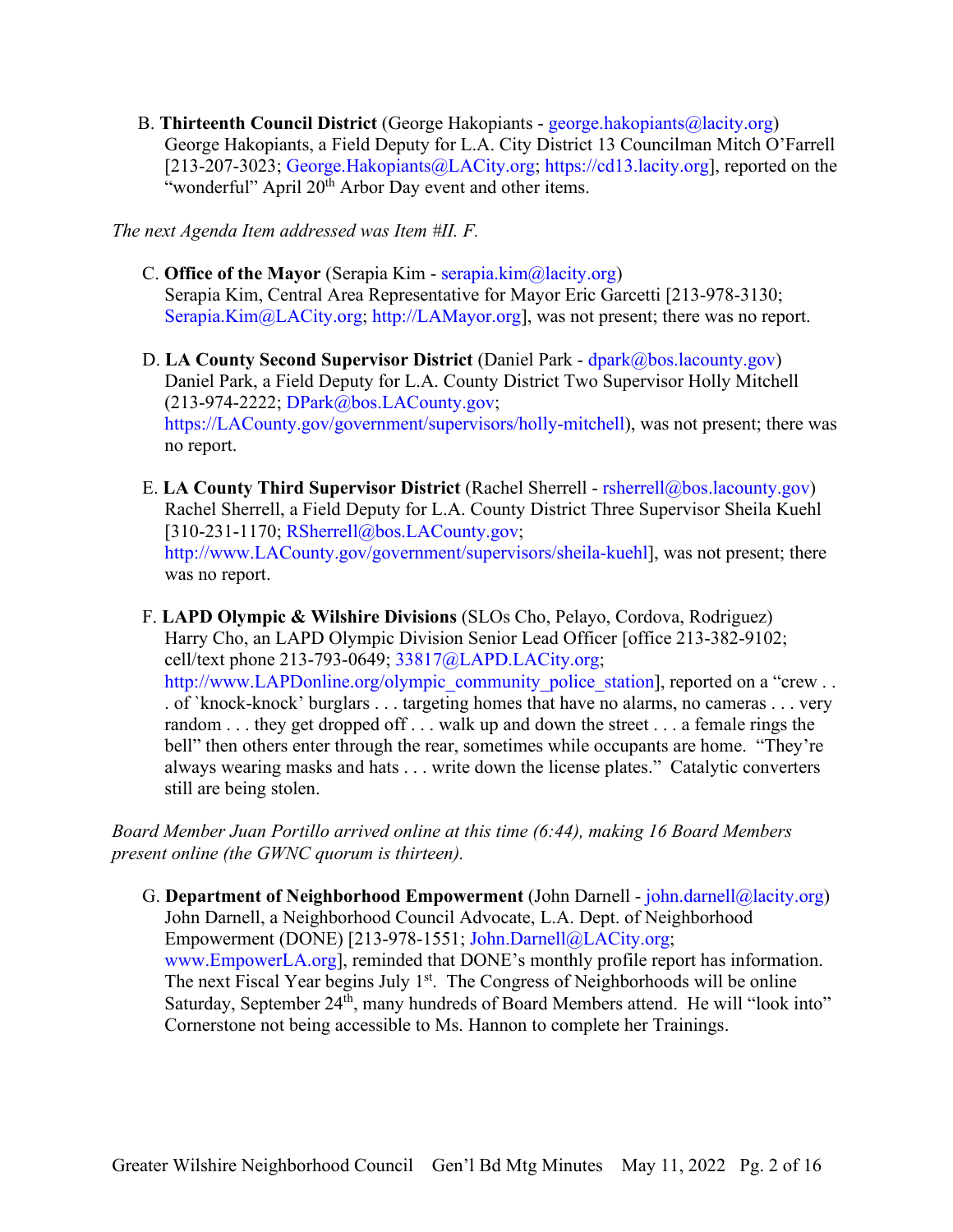B. **Thirteenth Council District** (George Hakopiants - [george.hakopiants@lacity.org\)](mailto:george.hakopiants@lacity.org) George Hakopiants, a Field Deputy for L.A. City District 13 Councilman Mitch O'Farrell [213-207-3023; [George.Hakopiants@LACity.org;](mailto:George.Hakopiants@LACity.org) [https://cd13.lacity.org\]](https://cd13.lacity.org/), reported on the "wonderful" April 20<sup>th</sup> Arbor Day event and other items.

*The next Agenda Item addressed was Item #II. F.*

- C. **Office of the Mayor** (Serapia Kim [serapia.kim@lacity.org\)](mailto:serapia.kim@lacity.org) Serapia Kim, Central Area Representative for Mayor Eric Garcetti [213-978-3130; [Serapia.Kim@LACity.org;](mailto:%20Serapia.Kim@LACity.org) [http://LAMayor.org\]](http://lamayor.org/), was not present; there was no report.
- D. **LA County Second Supervisor District** (Daniel Park [dpark@bos.lacounty.gov\)](mailto:dpark@bos.lacounty.gov) Daniel Park, a Field Deputy for L.A. County District Two Supervisor Holly Mitchell (213-974-2222; [DPark@bos.LACounty.gov;](mailto:DPark@bos.LACounty.gov) [https://LACounty.gov/government/supervisors/holly-mitchell\)](https://lacounty.gov/government/supervisors/holly-mitchell), was not present; there was no report.
- E. **LA County Third Supervisor District** (Rachel Sherrell [rsherrell@bos.lacounty.gov\)](mailto:rsherrell@bos.lacounty.gov) Rachel Sherrell, a Field Deputy for L.A. County District Three Supervisor Sheila Kuehl [310-231-1170; [RSherrell@bos.LACounty.gov;](mailto:RSherrell@bos.LACounty.gov) [http://www.LACounty.gov/government/supervisors/sheila-kuehl\]](http://www.lacounty.gov/government/supervisors/sheila-kuehl), was not present; there was no report.
- F. **LAPD Olympic & Wilshire Divisions** (SLOs Cho, Pelayo, Cordova, Rodriguez) Harry Cho, an LAPD Olympic Division Senior Lead Officer [office 213-382-9102; cell/text phone 213-793-0649; [33817@LAPD.LACity.org;](mailto:33817@LAPD.LACity.org) [http://www.LAPDonline.org/olympic\\_community\\_police\\_station\]](http://www.lapdonline.org/olympic_community_police_station), reported on a "crew . . . of `knock-knock' burglars . . . targeting homes that have no alarms, no cameras . . . very random . . . they get dropped off . . . walk up and down the street . . . a female rings the bell" then others enter through the rear, sometimes while occupants are home. "They're always wearing masks and hats . . . write down the license plates." Catalytic converters still are being stolen.

*Board Member Juan Portillo arrived online at this time (6:44), making 16 Board Members present online (the GWNC quorum is thirteen).*

G. **Department of Neighborhood Empowerment** (John Darnell - [john.darnell@lacity.org\)](mailto:john.darnell@lacity.org) John Darnell, a Neighborhood Council Advocate, L.A. Dept. of Neighborhood Empowerment (DONE) [213-978-1551; [John.Darnell@LACity.org;](mailto:John.Darnell@LACity.org) [www.EmpowerLA.org\]](http://www.empowerla.org/), reminded that DONE's monthly profile report has information. The next Fiscal Year begins July 1<sup>st</sup>. The Congress of Neighborhoods will be online Saturday, September 24<sup>th</sup>, many hundreds of Board Members attend. He will "look into" Cornerstone not being accessible to Ms. Hannon to complete her Trainings.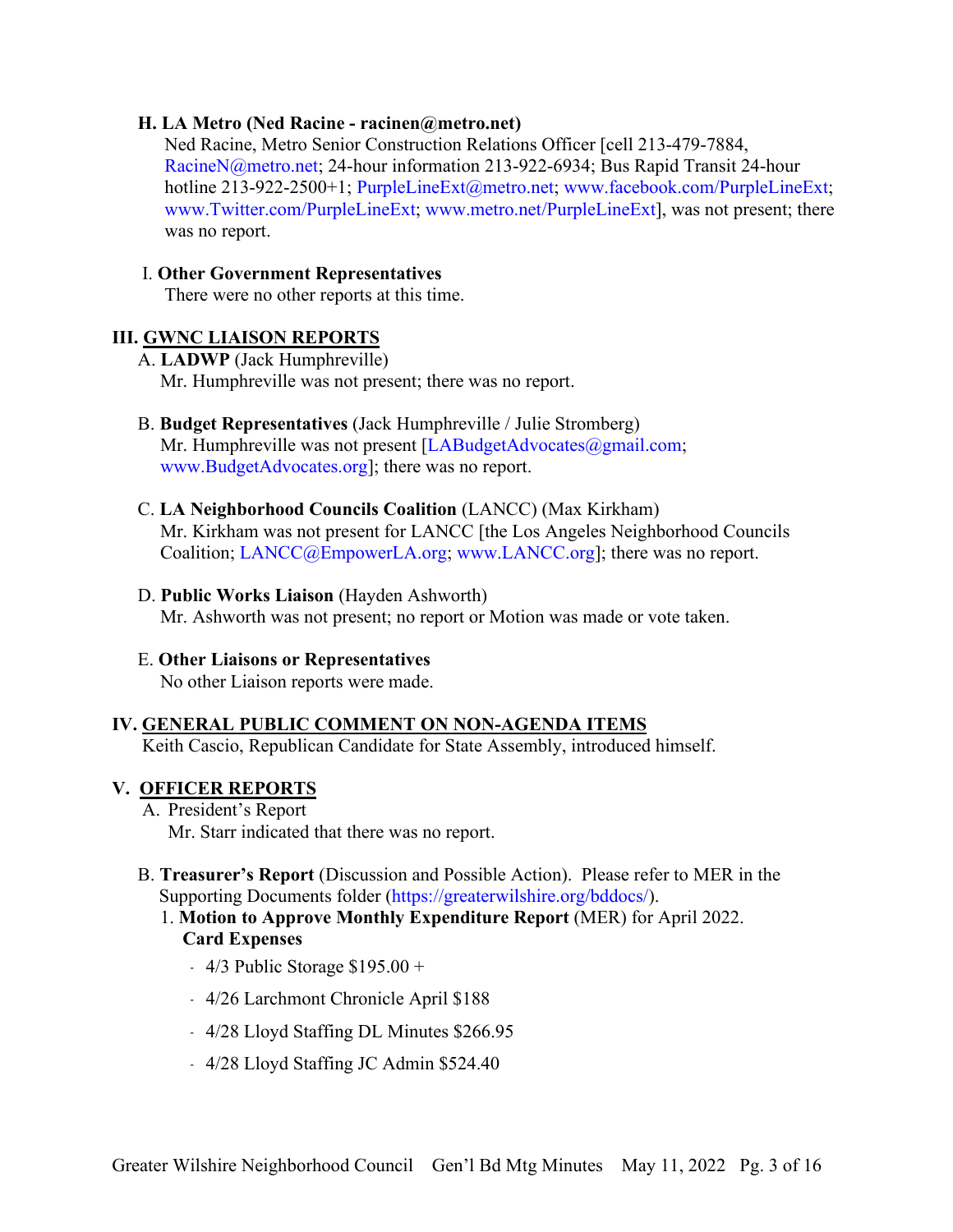#### **H. LA Metro (Ned Racine - racinen@metro.net)**

Ned Racine, Metro Senior Construction Relations Officer [cell 213-479-7884, [RacineN@metro.net;](mailto:RacineN@metro.net) 24-hour information 213-922-6934; Bus Rapid Transit 24-hour hotline 213-922-2500+1; [PurpleLineExt@metro.net;](mailto:PurpleLineExt@metro.net) [www.facebook.com/PurpleLineExt;](http://www.facebook.com/PurpleLineExt) [www.Twitter.com/PurpleLineExt;](http://www.twitter.com/PurpleLineExt) [www.metro.net/PurpleLineExt\]](http://www.metro.net/PurpleLineExt), was not present; there was no report.

#### I. **Other Government Representatives**

There were no other reports at this time.

#### **III. GWNC LIAISON REPORTS**

A. **LADWP** (Jack Humphreville)

Mr. Humphreville was not present; there was no report.

# B. **Budget Representatives** (Jack Humphreville / Julie Stromberg)

Mr. Humphreville was not present [\[LABudgetAdvocates@gmail.com;](mailto:LABudgetAdvocates@gmail.com) [www.BudgetAdvocates.org\]](http://www.budgetadvocates.org/); there was no report.

#### C. **LA Neighborhood Councils Coalition** (LANCC) (Max Kirkham) Mr. Kirkham was not present for LANCC [the Los Angeles Neighborhood Councils Coalition; [LANCC@EmpowerLA.org;](mailto:LANCC@EmpowerLA.org) [www.LANCC.org\]](http://www.lancc.org/); there was no report.

#### D. **Public Works Liaison** (Hayden Ashworth)

Mr. Ashworth was not present; no report or Motion was made or vote taken.

## E. **Other Liaisons or Representatives**

No other Liaison reports were made.

## **IV. GENERAL PUBLIC COMMENT ON NON-AGENDA ITEMS**

Keith Cascio, Republican Candidate for State Assembly, introduced himself.

#### **V. OFFICER REPORTS**

- A. President's Report Mr. Starr indicated that there was no report.
- B. **Treasurer's Report** (Discussion and Possible Action). Please refer to MER in the Supporting Documents folder [\(https://greaterwilshire.org/bddocs/\)](https://greaterwilshire.org/bddocs/).
	- 1. **Motion to Approve Monthly Expenditure Report** (MER) for April 2022. **Card Expenses**
		- $-4/3$  Public Storage \$195.00 +
		- ﹣ 4/26 Larchmont Chronicle April \$188
		- ﹣ 4/28 Lloyd Staffing DL Minutes \$266.95
		- ﹣ 4/28 Lloyd Staffing JC Admin \$524.40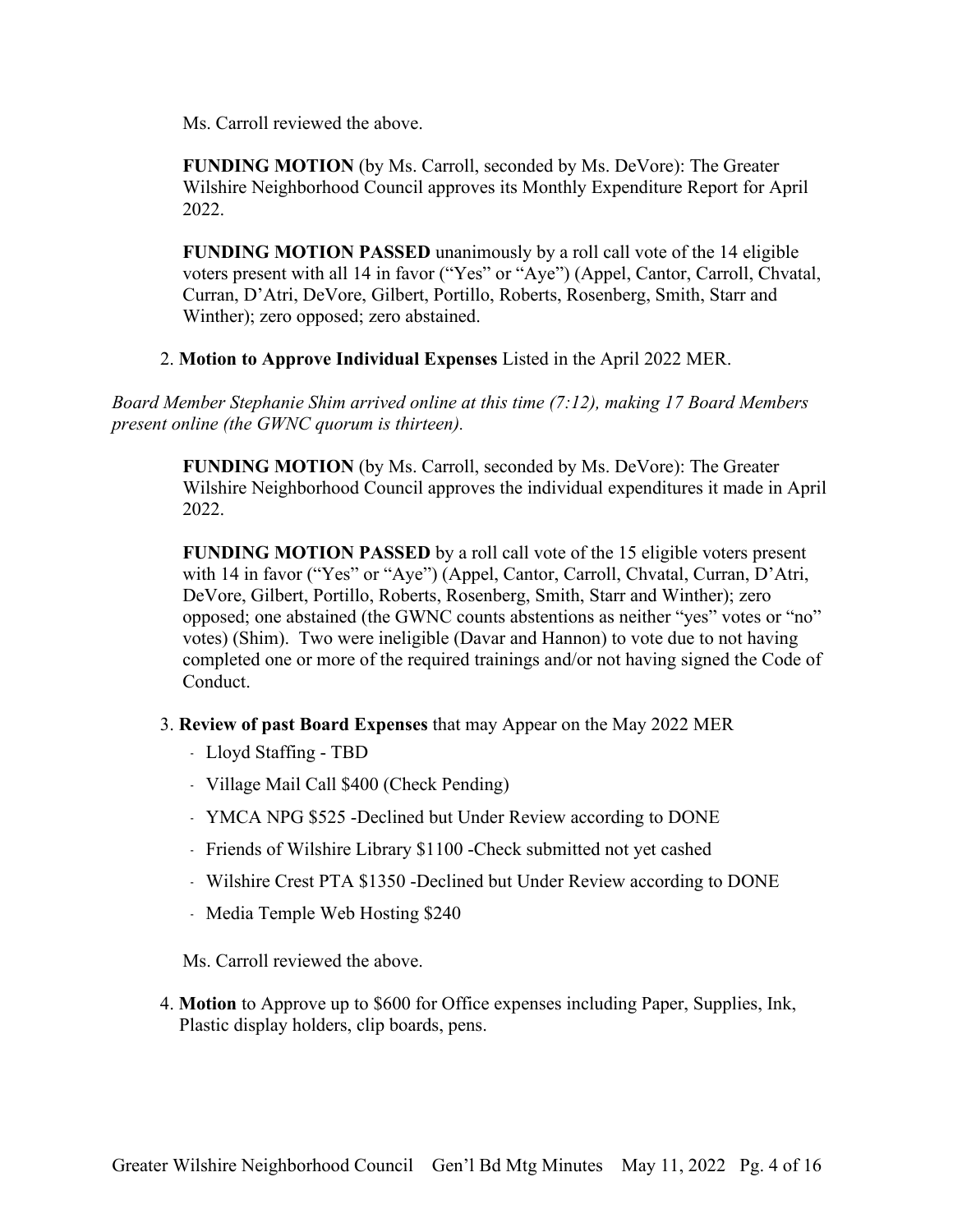Ms. Carroll reviewed the above.

**FUNDING MOTION** (by Ms. Carroll, seconded by Ms. DeVore): The Greater Wilshire Neighborhood Council approves its Monthly Expenditure Report for April 2022.

**FUNDING MOTION PASSED** unanimously by a roll call vote of the 14 eligible voters present with all 14 in favor ("Yes" or "Aye") (Appel, Cantor, Carroll, Chvatal, Curran, D'Atri, DeVore, Gilbert, Portillo, Roberts, Rosenberg, Smith, Starr and Winther); zero opposed; zero abstained.

2. **Motion to Approve Individual Expenses** Listed in the April 2022 MER.

*Board Member Stephanie Shim arrived online at this time (7:12), making 17 Board Members present online (the GWNC quorum is thirteen).*

> **FUNDING MOTION** (by Ms. Carroll, seconded by Ms. DeVore): The Greater Wilshire Neighborhood Council approves the individual expenditures it made in April 2022.

> **FUNDING MOTION PASSED** by a roll call vote of the 15 eligible voters present with 14 in favor ("Yes" or "Aye") (Appel, Cantor, Carroll, Chvatal, Curran, D'Atri, DeVore, Gilbert, Portillo, Roberts, Rosenberg, Smith, Starr and Winther); zero opposed; one abstained (the GWNC counts abstentions as neither "yes" votes or "no" votes) (Shim). Two were ineligible (Davar and Hannon) to vote due to not having completed one or more of the required trainings and/or not having signed the Code of Conduct.

- 3. **Review of past Board Expenses** that may Appear on the May 2022 MER
	- ﹣ Lloyd Staffing TBD
	- ﹣ Village Mail Call \$400 (Check Pending)
	- ﹣ YMCA NPG \$525 -Declined but Under Review according to DONE
	- Friends of Wilshire Library \$1100 Check submitted not yet cashed
	- ﹣ Wilshire Crest PTA \$1350 -Declined but Under Review according to DONE
	- Media Temple Web Hosting \$240

Ms. Carroll reviewed the above.

4. **Motion** to Approve up to \$600 for Office expenses including Paper, Supplies, Ink, Plastic display holders, clip boards, pens.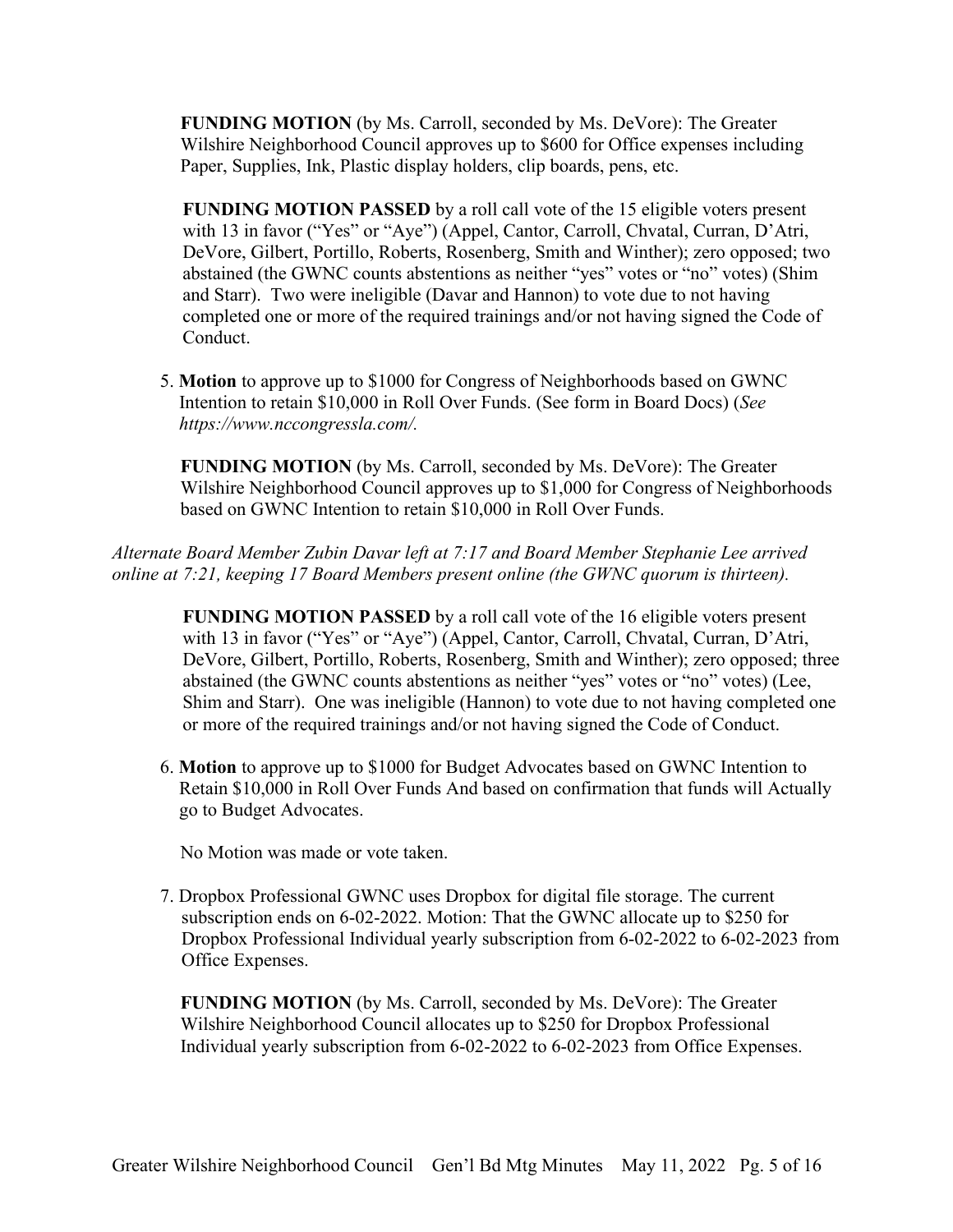**FUNDING MOTION** (by Ms. Carroll, seconded by Ms. DeVore): The Greater Wilshire Neighborhood Council approves up to \$600 for Office expenses including Paper, Supplies, Ink, Plastic display holders, clip boards, pens, etc.

**FUNDING MOTION PASSED** by a roll call vote of the 15 eligible voters present with 13 in favor ("Yes" or "Aye") (Appel, Cantor, Carroll, Chvatal, Curran, D'Atri, DeVore, Gilbert, Portillo, Roberts, Rosenberg, Smith and Winther); zero opposed; two abstained (the GWNC counts abstentions as neither "yes" votes or "no" votes) (Shim and Starr). Two were ineligible (Davar and Hannon) to vote due to not having completed one or more of the required trainings and/or not having signed the Code of Conduct.

5. **Motion** to approve up to \$1000 for Congress of Neighborhoods based on GWNC Intention to retain \$10,000 in Roll Over Funds. (See form in Board Docs) (*See https://www.nccongressla.com/.*

**FUNDING MOTION** (by Ms. Carroll, seconded by Ms. DeVore): The Greater Wilshire Neighborhood Council approves up to \$1,000 for Congress of Neighborhoods based on GWNC Intention to retain \$10,000 in Roll Over Funds.

*Alternate Board Member Zubin Davar left at 7:17 and Board Member Stephanie Lee arrived online at 7:21, keeping 17 Board Members present online (the GWNC quorum is thirteen).*

**FUNDING MOTION PASSED** by a roll call vote of the 16 eligible voters present with 13 in favor ("Yes" or "Aye") (Appel, Cantor, Carroll, Chvatal, Curran, D'Atri, DeVore, Gilbert, Portillo, Roberts, Rosenberg, Smith and Winther); zero opposed; three abstained (the GWNC counts abstentions as neither "yes" votes or "no" votes) (Lee, Shim and Starr). One was ineligible (Hannon) to vote due to not having completed one or more of the required trainings and/or not having signed the Code of Conduct.

6. **Motion** to approve up to \$1000 for Budget Advocates based on GWNC Intention to Retain \$10,000 in Roll Over Funds And based on confirmation that funds will Actually go to Budget Advocates.

No Motion was made or vote taken.

7. Dropbox Professional GWNC uses Dropbox for digital file storage. The current subscription ends on 6-02-2022. Motion: That the GWNC allocate up to \$250 for Dropbox Professional Individual yearly subscription from 6-02-2022 to 6-02-2023 from Office Expenses.

**FUNDING MOTION** (by Ms. Carroll, seconded by Ms. DeVore): The Greater Wilshire Neighborhood Council allocates up to \$250 for Dropbox Professional Individual yearly subscription from 6-02-2022 to 6-02-2023 from Office Expenses.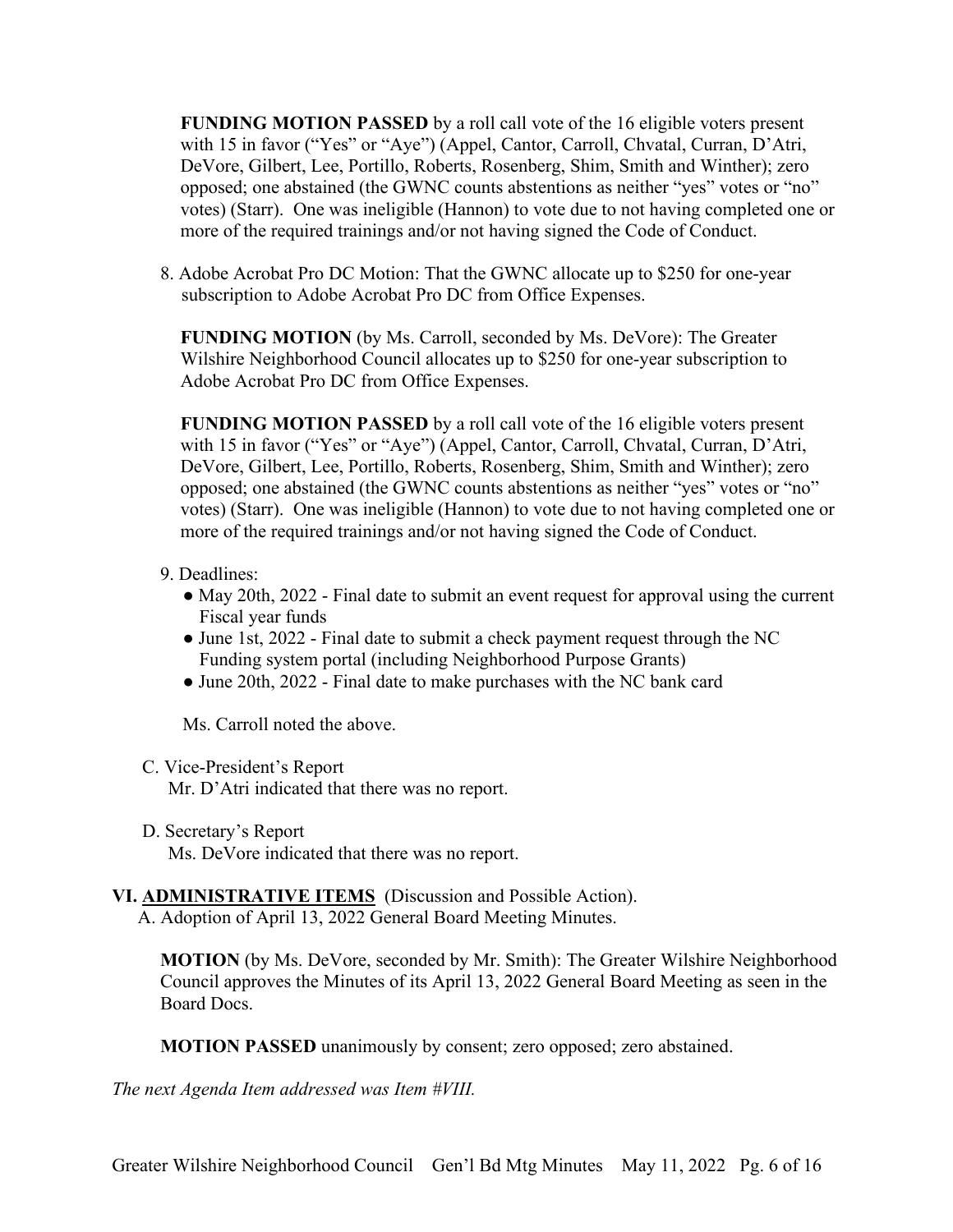**FUNDING MOTION PASSED** by a roll call vote of the 16 eligible voters present with 15 in favor ("Yes" or "Aye") (Appel, Cantor, Carroll, Chvatal, Curran, D'Atri, DeVore, Gilbert, Lee, Portillo, Roberts, Rosenberg, Shim, Smith and Winther); zero opposed; one abstained (the GWNC counts abstentions as neither "yes" votes or "no" votes) (Starr). One was ineligible (Hannon) to vote due to not having completed one or more of the required trainings and/or not having signed the Code of Conduct.

8. Adobe Acrobat Pro DC Motion: That the GWNC allocate up to \$250 for one-year subscription to Adobe Acrobat Pro DC from Office Expenses.

**FUNDING MOTION** (by Ms. Carroll, seconded by Ms. DeVore): The Greater Wilshire Neighborhood Council allocates up to \$250 for one-year subscription to Adobe Acrobat Pro DC from Office Expenses.

**FUNDING MOTION PASSED** by a roll call vote of the 16 eligible voters present with 15 in favor ("Yes" or "Aye") (Appel, Cantor, Carroll, Chvatal, Curran, D'Atri, DeVore, Gilbert, Lee, Portillo, Roberts, Rosenberg, Shim, Smith and Winther); zero opposed; one abstained (the GWNC counts abstentions as neither "yes" votes or "no" votes) (Starr). One was ineligible (Hannon) to vote due to not having completed one or more of the required trainings and/or not having signed the Code of Conduct.

- 9. Deadlines:
	- May 20th, 2022 Final date to submit an event request for approval using the current Fiscal year funds
	- June 1st, 2022 Final date to submit a check payment request through the NC Funding system portal (including Neighborhood Purpose Grants)
	- June 20th, 2022 Final date to make purchases with the NC bank card

Ms. Carroll noted the above.

C. Vice-President's Report

Mr. D'Atri indicated that there was no report.

D. Secretary's Report

Ms. DeVore indicated that there was no report.

## **VI. ADMINISTRATIVE ITEMS** (Discussion and Possible Action).

A. Adoption of April 13, 2022 General Board Meeting Minutes.

**MOTION** (by Ms. DeVore, seconded by Mr. Smith): The Greater Wilshire Neighborhood Council approves the Minutes of its April 13, 2022 General Board Meeting as seen in the Board Docs.

**MOTION PASSED** unanimously by consent; zero opposed; zero abstained.

*The next Agenda Item addressed was Item #VIII.*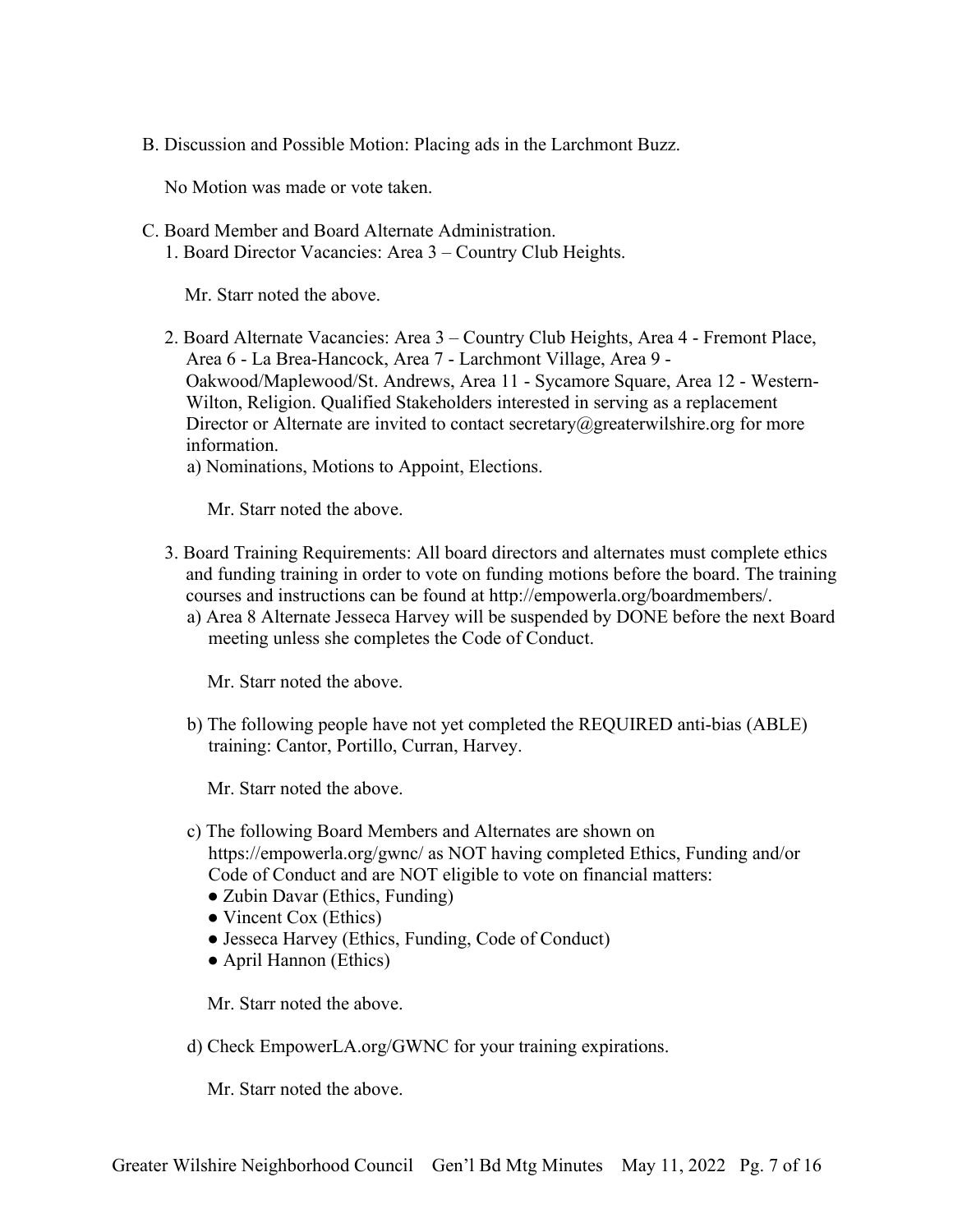B. Discussion and Possible Motion: Placing ads in the Larchmont Buzz.

No Motion was made or vote taken.

- C. Board Member and Board Alternate Administration.
	- 1. Board Director Vacancies: Area 3 Country Club Heights.

Mr. Starr noted the above.

- 2. Board Alternate Vacancies: Area 3 Country Club Heights, Area 4 Fremont Place, Area 6 - La Brea-Hancock, Area 7 - Larchmont Village, Area 9 - Oakwood/Maplewood/St. Andrews, Area 11 - Sycamore Square, Area 12 - Western-Wilton, Religion. Qualified Stakeholders interested in serving as a replacement Director or Alternate are invited to contact secretary@greaterwilshire.org for more information.
	- a) Nominations, Motions to Appoint, Elections.

Mr. Starr noted the above.

- 3. Board Training Requirements: All board directors and alternates must complete ethics and funding training in order to vote on funding motions before the board. The training courses and instructions can be found at http://empowerla.org/boardmembers/.
	- a) Area 8 Alternate Jesseca Harvey will be suspended by DONE before the next Board meeting unless she completes the Code of Conduct.

Mr. Starr noted the above.

b) The following people have not yet completed the REQUIRED anti-bias (ABLE) training: Cantor, Portillo, Curran, Harvey.

Mr. Starr noted the above.

- c) The following Board Members and Alternates are shown on https://empowerla.org/gwnc/ as NOT having completed Ethics, Funding and/or Code of Conduct and are NOT eligible to vote on financial matters:
	- Zubin Davar (Ethics, Funding)
	- Vincent Cox (Ethics)
	- Jesseca Harvey (Ethics, Funding, Code of Conduct)
	- April Hannon (Ethics)

Mr. Starr noted the above.

d) Check EmpowerLA.org/GWNC for your training expirations.

Mr. Starr noted the above.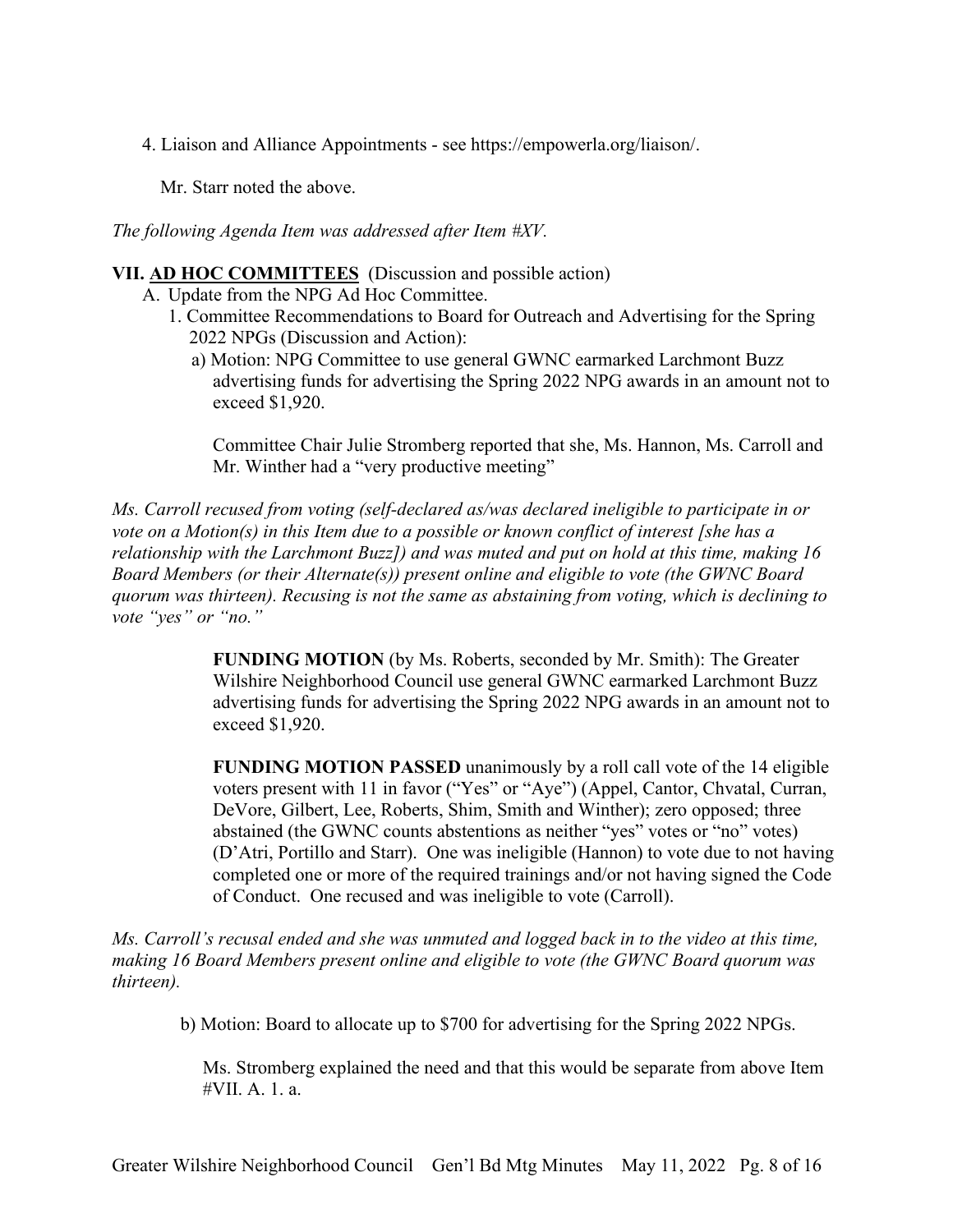4. Liaison and Alliance Appointments - see https://empowerla.org/liaison/.

Mr. Starr noted the above.

*The following Agenda Item was addressed after Item #XV.* 

#### **VII. AD HOC COMMITTEES** (Discussion and possible action)

- A. Update from the NPG Ad Hoc Committee.
	- 1. Committee Recommendations to Board for Outreach and Advertising for the Spring 2022 NPGs (Discussion and Action):
		- a) Motion: NPG Committee to use general GWNC earmarked Larchmont Buzz advertising funds for advertising the Spring 2022 NPG awards in an amount not to exceed \$1,920.

Committee Chair Julie Stromberg reported that she, Ms. Hannon, Ms. Carroll and Mr. Winther had a "very productive meeting"

*Ms. Carroll recused from voting (self-declared as/was declared ineligible to participate in or vote on a Motion(s) in this Item due to a possible or known conflict of interest [she has a relationship with the Larchmont Buzz]) and was muted and put on hold at this time, making 16 Board Members (or their Alternate(s)) present online and eligible to vote (the GWNC Board quorum was thirteen). Recusing is not the same as abstaining from voting, which is declining to vote "yes" or "no."* 

> **FUNDING MOTION** (by Ms. Roberts, seconded by Mr. Smith): The Greater Wilshire Neighborhood Council use general GWNC earmarked Larchmont Buzz advertising funds for advertising the Spring 2022 NPG awards in an amount not to exceed \$1,920.

> **FUNDING MOTION PASSED** unanimously by a roll call vote of the 14 eligible voters present with 11 in favor ("Yes" or "Aye") (Appel, Cantor, Chvatal, Curran, DeVore, Gilbert, Lee, Roberts, Shim, Smith and Winther); zero opposed; three abstained (the GWNC counts abstentions as neither "yes" votes or "no" votes) (D'Atri, Portillo and Starr). One was ineligible (Hannon) to vote due to not having completed one or more of the required trainings and/or not having signed the Code of Conduct. One recused and was ineligible to vote (Carroll).

*Ms. Carroll's recusal ended and she was unmuted and logged back in to the video at this time, making 16 Board Members present online and eligible to vote (the GWNC Board quorum was thirteen).* 

b) Motion: Board to allocate up to \$700 for advertising for the Spring 2022 NPGs.

Ms. Stromberg explained the need and that this would be separate from above Item #VII. A. 1. a.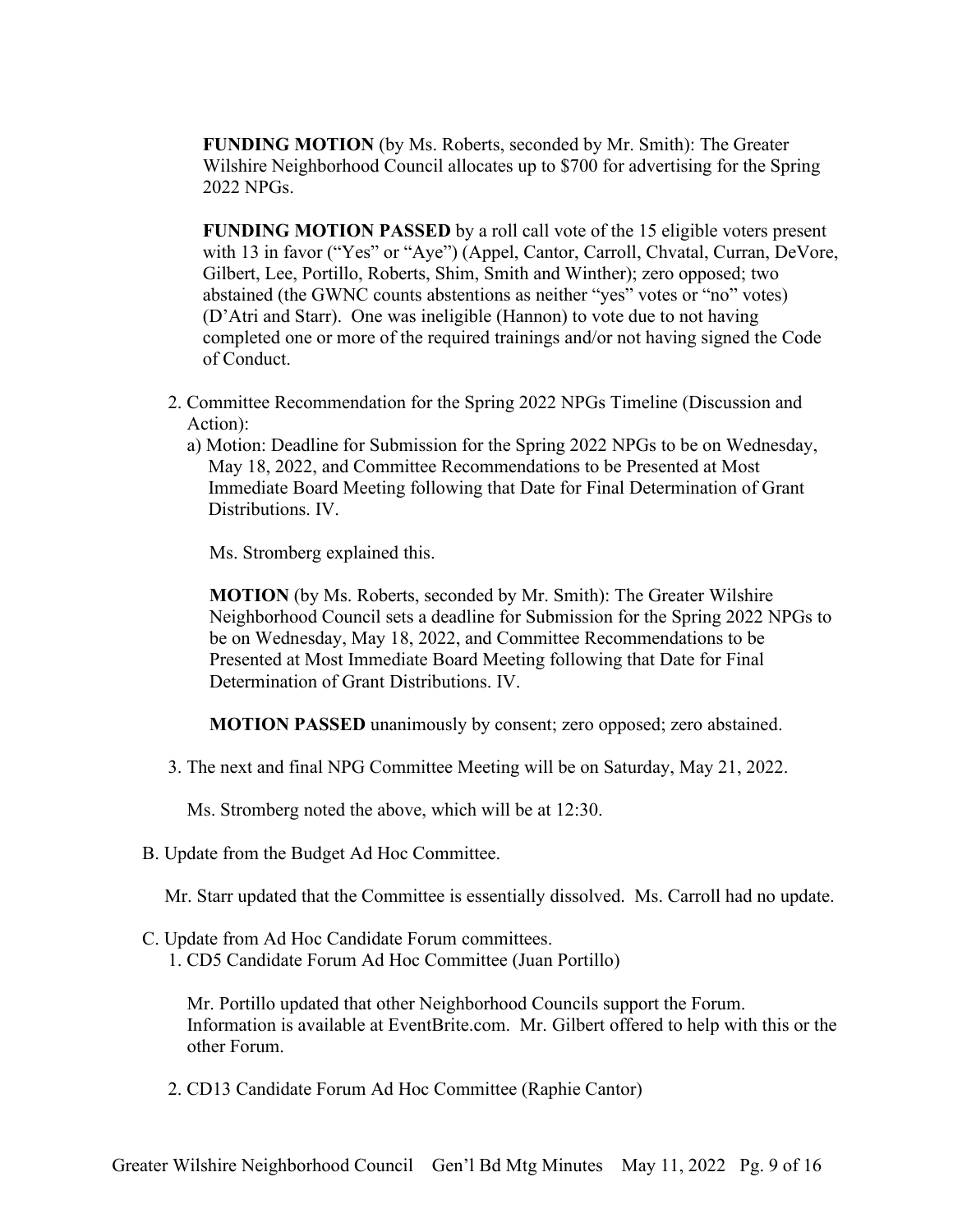**FUNDING MOTION** (by Ms. Roberts, seconded by Mr. Smith): The Greater Wilshire Neighborhood Council allocates up to \$700 for advertising for the Spring 2022 NPGs.

**FUNDING MOTION PASSED** by a roll call vote of the 15 eligible voters present with 13 in favor ("Yes" or "Aye") (Appel, Cantor, Carroll, Chvatal, Curran, DeVore, Gilbert, Lee, Portillo, Roberts, Shim, Smith and Winther); zero opposed; two abstained (the GWNC counts abstentions as neither "yes" votes or "no" votes) (D'Atri and Starr). One was ineligible (Hannon) to vote due to not having completed one or more of the required trainings and/or not having signed the Code of Conduct.

- 2. Committee Recommendation for the Spring 2022 NPGs Timeline (Discussion and Action):
	- a) Motion: Deadline for Submission for the Spring 2022 NPGs to be on Wednesday, May 18, 2022, and Committee Recommendations to be Presented at Most Immediate Board Meeting following that Date for Final Determination of Grant Distributions. IV.

Ms. Stromberg explained this.

**MOTION** (by Ms. Roberts, seconded by Mr. Smith): The Greater Wilshire Neighborhood Council sets a deadline for Submission for the Spring 2022 NPGs to be on Wednesday, May 18, 2022, and Committee Recommendations to be Presented at Most Immediate Board Meeting following that Date for Final Determination of Grant Distributions. IV.

**MOTION PASSED** unanimously by consent; zero opposed; zero abstained.

3. The next and final NPG Committee Meeting will be on Saturday, May 21, 2022.

Ms. Stromberg noted the above, which will be at 12:30.

B. Update from the Budget Ad Hoc Committee.

Mr. Starr updated that the Committee is essentially dissolved. Ms. Carroll had no update.

C. Update from Ad Hoc Candidate Forum committees. 1. CD5 Candidate Forum Ad Hoc Committee (Juan Portillo)

Mr. Portillo updated that other Neighborhood Councils support the Forum. Information is available at EventBrite.com. Mr. Gilbert offered to help with this or the other Forum.

2. CD13 Candidate Forum Ad Hoc Committee (Raphie Cantor)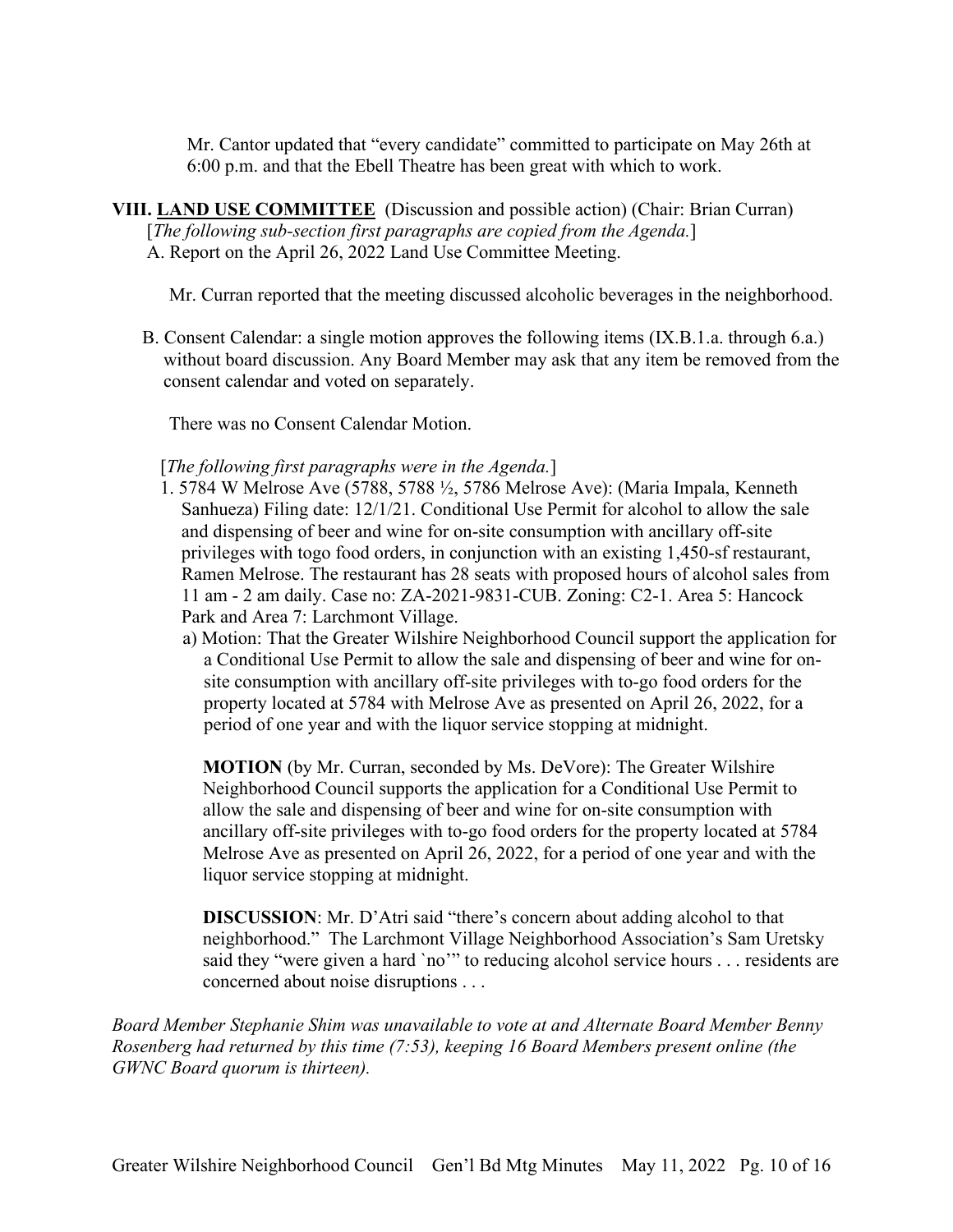Mr. Cantor updated that "every candidate" committed to participate on May 26th at 6:00 p.m. and that the Ebell Theatre has been great with which to work.

**VIII. LAND USE COMMITTEE** (Discussion and possible action) (Chair: Brian Curran) [*The following sub-section first paragraphs are copied from the Agenda.*] A. Report on the April 26, 2022 Land Use Committee Meeting.

Mr. Curran reported that the meeting discussed alcoholic beverages in the neighborhood.

B. Consent Calendar: a single motion approves the following items (IX.B.1.a. through 6.a.) without board discussion. Any Board Member may ask that any item be removed from the consent calendar and voted on separately.

There was no Consent Calendar Motion.

#### [*The following first paragraphs were in the Agenda.*]

- 1. 5784 W Melrose Ave (5788, 5788 ½, 5786 Melrose Ave): (Maria Impala, Kenneth Sanhueza) Filing date: 12/1/21. Conditional Use Permit for alcohol to allow the sale and dispensing of beer and wine for on-site consumption with ancillary off-site privileges with togo food orders, in conjunction with an existing 1,450-sf restaurant, Ramen Melrose. The restaurant has 28 seats with proposed hours of alcohol sales from 11 am - 2 am daily. Case no: ZA-2021-9831-CUB. Zoning: C2-1. Area 5: Hancock Park and Area 7: Larchmont Village.
	- a) Motion: That the Greater Wilshire Neighborhood Council support the application for a Conditional Use Permit to allow the sale and dispensing of beer and wine for onsite consumption with ancillary off-site privileges with to-go food orders for the property located at 5784 with Melrose Ave as presented on April 26, 2022, for a period of one year and with the liquor service stopping at midnight.

**MOTION** (by Mr. Curran, seconded by Ms. DeVore): The Greater Wilshire Neighborhood Council supports the application for a Conditional Use Permit to allow the sale and dispensing of beer and wine for on-site consumption with ancillary off-site privileges with to-go food orders for the property located at 5784 Melrose Ave as presented on April 26, 2022, for a period of one year and with the liquor service stopping at midnight.

**DISCUSSION**: Mr. D'Atri said "there's concern about adding alcohol to that neighborhood." The Larchmont Village Neighborhood Association's Sam Uretsky said they "were given a hard 'no'" to reducing alcohol service hours . . . residents are concerned about noise disruptions . . .

*Board Member Stephanie Shim was unavailable to vote at and Alternate Board Member Benny Rosenberg had returned by this time (7:53), keeping 16 Board Members present online (the GWNC Board quorum is thirteen).*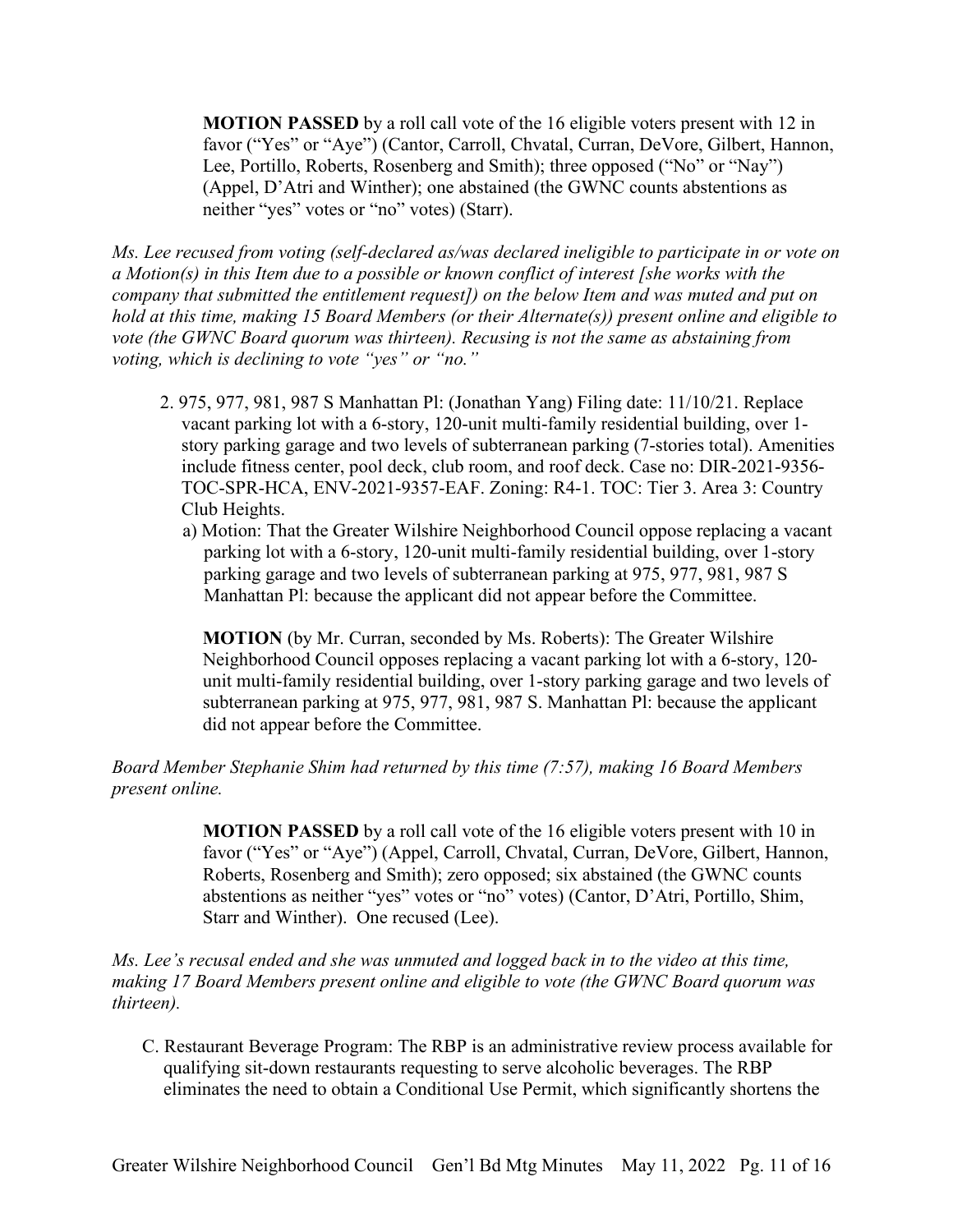**MOTION PASSED** by a roll call vote of the 16 eligible voters present with 12 in favor ("Yes" or "Aye") (Cantor, Carroll, Chvatal, Curran, DeVore, Gilbert, Hannon, Lee, Portillo, Roberts, Rosenberg and Smith); three opposed ("No" or "Nay") (Appel, D'Atri and Winther); one abstained (the GWNC counts abstentions as neither "yes" votes or "no" votes) (Starr).

*Ms. Lee recused from voting (self-declared as/was declared ineligible to participate in or vote on a Motion(s) in this Item due to a possible or known conflict of interest [she works with the company that submitted the entitlement request]) on the below Item and was muted and put on hold at this time, making 15 Board Members (or their Alternate(s)) present online and eligible to vote (the GWNC Board quorum was thirteen). Recusing is not the same as abstaining from voting, which is declining to vote "yes" or "no."*

- 2. 975, 977, 981, 987 S Manhattan Pl: (Jonathan Yang) Filing date: 11/10/21. Replace vacant parking lot with a 6-story, 120-unit multi-family residential building, over 1 story parking garage and two levels of subterranean parking (7-stories total). Amenities include fitness center, pool deck, club room, and roof deck. Case no: DIR-2021-9356- TOC-SPR-HCA, ENV-2021-9357-EAF. Zoning: R4-1. TOC: Tier 3. Area 3: Country Club Heights.
	- a) Motion: That the Greater Wilshire Neighborhood Council oppose replacing a vacant parking lot with a 6-story, 120-unit multi-family residential building, over 1-story parking garage and two levels of subterranean parking at 975, 977, 981, 987 S Manhattan Pl: because the applicant did not appear before the Committee.

**MOTION** (by Mr. Curran, seconded by Ms. Roberts): The Greater Wilshire Neighborhood Council opposes replacing a vacant parking lot with a 6-story, 120 unit multi-family residential building, over 1-story parking garage and two levels of subterranean parking at 975, 977, 981, 987 S. Manhattan Pl: because the applicant did not appear before the Committee.

#### *Board Member Stephanie Shim had returned by this time (7:57), making 16 Board Members present online.*

**MOTION PASSED** by a roll call vote of the 16 eligible voters present with 10 in favor ("Yes" or "Aye") (Appel, Carroll, Chvatal, Curran, DeVore, Gilbert, Hannon, Roberts, Rosenberg and Smith); zero opposed; six abstained (the GWNC counts abstentions as neither "yes" votes or "no" votes) (Cantor, D'Atri, Portillo, Shim, Starr and Winther). One recused (Lee).

*Ms. Lee's recusal ended and she was unmuted and logged back in to the video at this time, making 17 Board Members present online and eligible to vote (the GWNC Board quorum was thirteen).*

C. Restaurant Beverage Program: The RBP is an administrative review process available for qualifying sit-down restaurants requesting to serve alcoholic beverages. The RBP eliminates the need to obtain a Conditional Use Permit, which significantly shortens the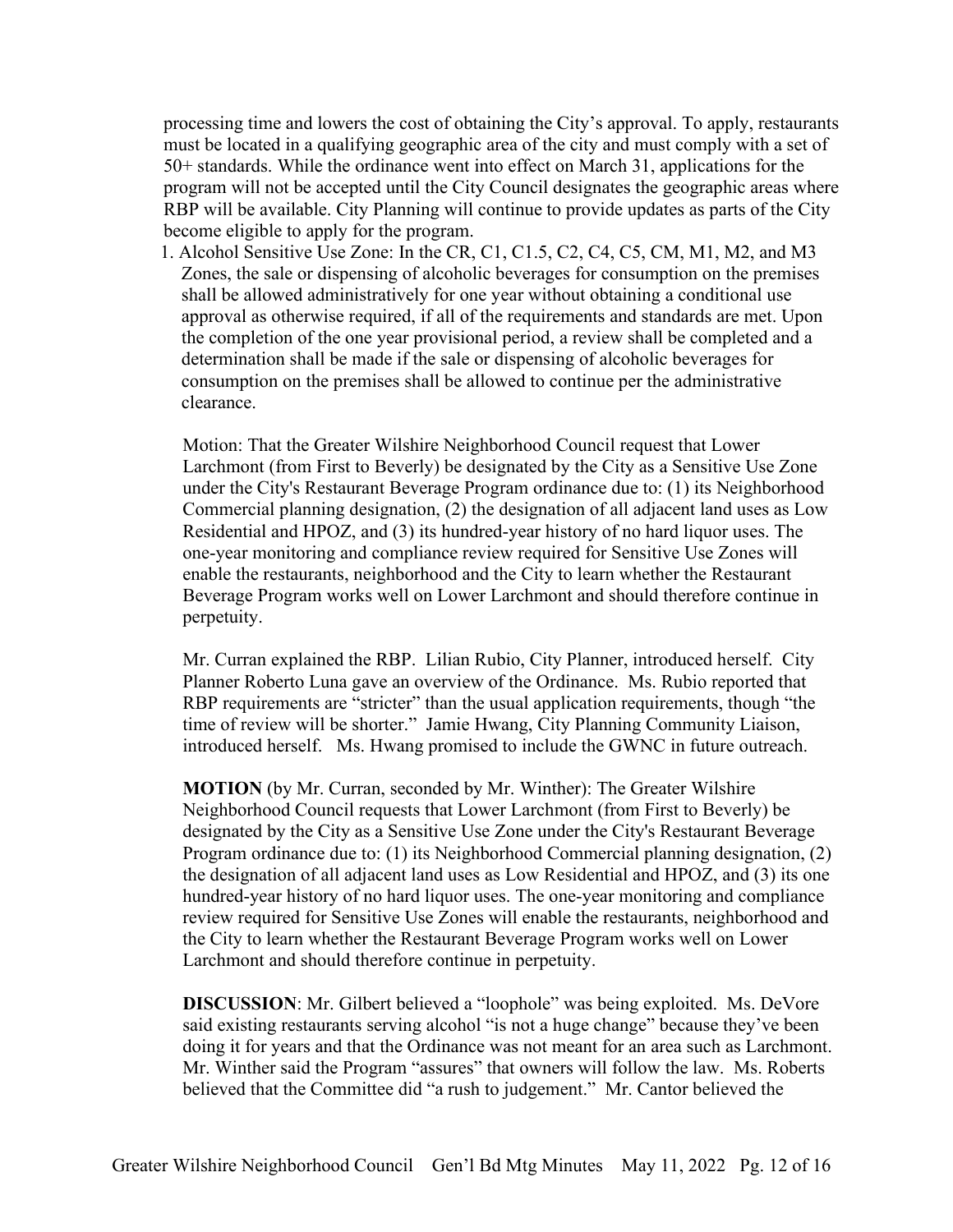processing time and lowers the cost of obtaining the City's approval. To apply, restaurants must be located in a qualifying geographic area of the city and must comply with a set of 50+ standards. While the ordinance went into effect on March 31, applications for the program will not be accepted until the City Council designates the geographic areas where RBP will be available. City Planning will continue to provide updates as parts of the City become eligible to apply for the program.

1. Alcohol Sensitive Use Zone: In the CR, C1, C1.5, C2, C4, C5, CM, M1, M2, and M3 Zones, the sale or dispensing of alcoholic beverages for consumption on the premises shall be allowed administratively for one year without obtaining a conditional use approval as otherwise required, if all of the requirements and standards are met. Upon the completion of the one year provisional period, a review shall be completed and a determination shall be made if the sale or dispensing of alcoholic beverages for consumption on the premises shall be allowed to continue per the administrative clearance.

Motion: That the Greater Wilshire Neighborhood Council request that Lower Larchmont (from First to Beverly) be designated by the City as a Sensitive Use Zone under the City's Restaurant Beverage Program ordinance due to: (1) its Neighborhood Commercial planning designation, (2) the designation of all adjacent land uses as Low Residential and HPOZ, and (3) its hundred-year history of no hard liquor uses. The one-year monitoring and compliance review required for Sensitive Use Zones will enable the restaurants, neighborhood and the City to learn whether the Restaurant Beverage Program works well on Lower Larchmont and should therefore continue in perpetuity.

Mr. Curran explained the RBP. Lilian Rubio, City Planner, introduced herself. City Planner Roberto Luna gave an overview of the Ordinance. Ms. Rubio reported that RBP requirements are "stricter" than the usual application requirements, though "the time of review will be shorter." Jamie Hwang, City Planning Community Liaison, introduced herself. Ms. Hwang promised to include the GWNC in future outreach.

**MOTION** (by Mr. Curran, seconded by Mr. Winther): The Greater Wilshire Neighborhood Council requests that Lower Larchmont (from First to Beverly) be designated by the City as a Sensitive Use Zone under the City's Restaurant Beverage Program ordinance due to: (1) its Neighborhood Commercial planning designation, (2) the designation of all adjacent land uses as Low Residential and HPOZ, and (3) its one hundred-year history of no hard liquor uses. The one-year monitoring and compliance review required for Sensitive Use Zones will enable the restaurants, neighborhood and the City to learn whether the Restaurant Beverage Program works well on Lower Larchmont and should therefore continue in perpetuity.

**DISCUSSION**: Mr. Gilbert believed a "loophole" was being exploited. Ms. DeVore said existing restaurants serving alcohol "is not a huge change" because they've been doing it for years and that the Ordinance was not meant for an area such as Larchmont. Mr. Winther said the Program "assures" that owners will follow the law. Ms. Roberts believed that the Committee did "a rush to judgement." Mr. Cantor believed the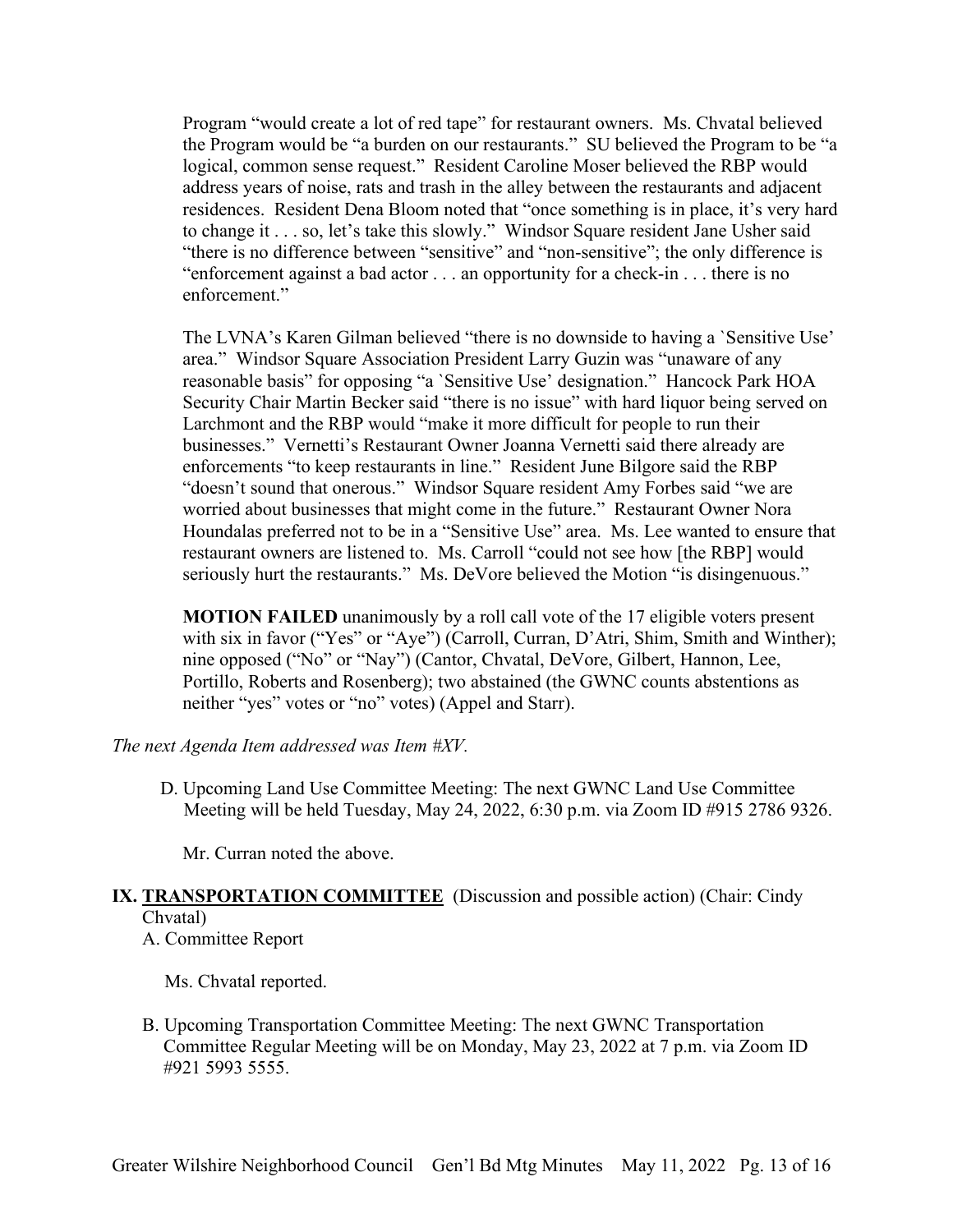Program "would create a lot of red tape" for restaurant owners. Ms. Chvatal believed the Program would be "a burden on our restaurants." SU believed the Program to be "a logical, common sense request." Resident Caroline Moser believed the RBP would address years of noise, rats and trash in the alley between the restaurants and adjacent residences. Resident Dena Bloom noted that "once something is in place, it's very hard to change it . . . so, let's take this slowly." Windsor Square resident Jane Usher said "there is no difference between "sensitive" and "non-sensitive"; the only difference is "enforcement against a bad actor . . . an opportunity for a check-in . . . there is no enforcement."

The LVNA's Karen Gilman believed "there is no downside to having a `Sensitive Use' area." Windsor Square Association President Larry Guzin was "unaware of any reasonable basis" for opposing "a `Sensitive Use' designation." Hancock Park HOA Security Chair Martin Becker said "there is no issue" with hard liquor being served on Larchmont and the RBP would "make it more difficult for people to run their businesses." Vernetti's Restaurant Owner Joanna Vernetti said there already are enforcements "to keep restaurants in line." Resident June Bilgore said the RBP "doesn't sound that onerous." Windsor Square resident Amy Forbes said "we are worried about businesses that might come in the future." Restaurant Owner Nora Houndalas preferred not to be in a "Sensitive Use" area. Ms. Lee wanted to ensure that restaurant owners are listened to. Ms. Carroll "could not see how [the RBP] would seriously hurt the restaurants." Ms. DeVore believed the Motion "is disingenuous."

**MOTION FAILED** unanimously by a roll call vote of the 17 eligible voters present with six in favor ("Yes" or "Aye") (Carroll, Curran, D'Atri, Shim, Smith and Winther); nine opposed ("No" or "Nay") (Cantor, Chvatal, DeVore, Gilbert, Hannon, Lee, Portillo, Roberts and Rosenberg); two abstained (the GWNC counts abstentions as neither "yes" votes or "no" votes) (Appel and Starr).

*The next Agenda Item addressed was Item #XV.* 

D. Upcoming Land Use Committee Meeting: The next GWNC Land Use Committee Meeting will be held Tuesday, May 24, 2022, 6:30 p.m. via Zoom ID #915 2786 9326.

Mr. Curran noted the above.

## **IX. TRANSPORTATION COMMITTEE** (Discussion and possible action) (Chair: Cindy Chvatal)

A. Committee Report

Ms. Chvatal reported.

B. Upcoming Transportation Committee Meeting: The next GWNC Transportation Committee Regular Meeting will be on Monday, May 23, 2022 at 7 p.m. via Zoom ID #921 5993 5555.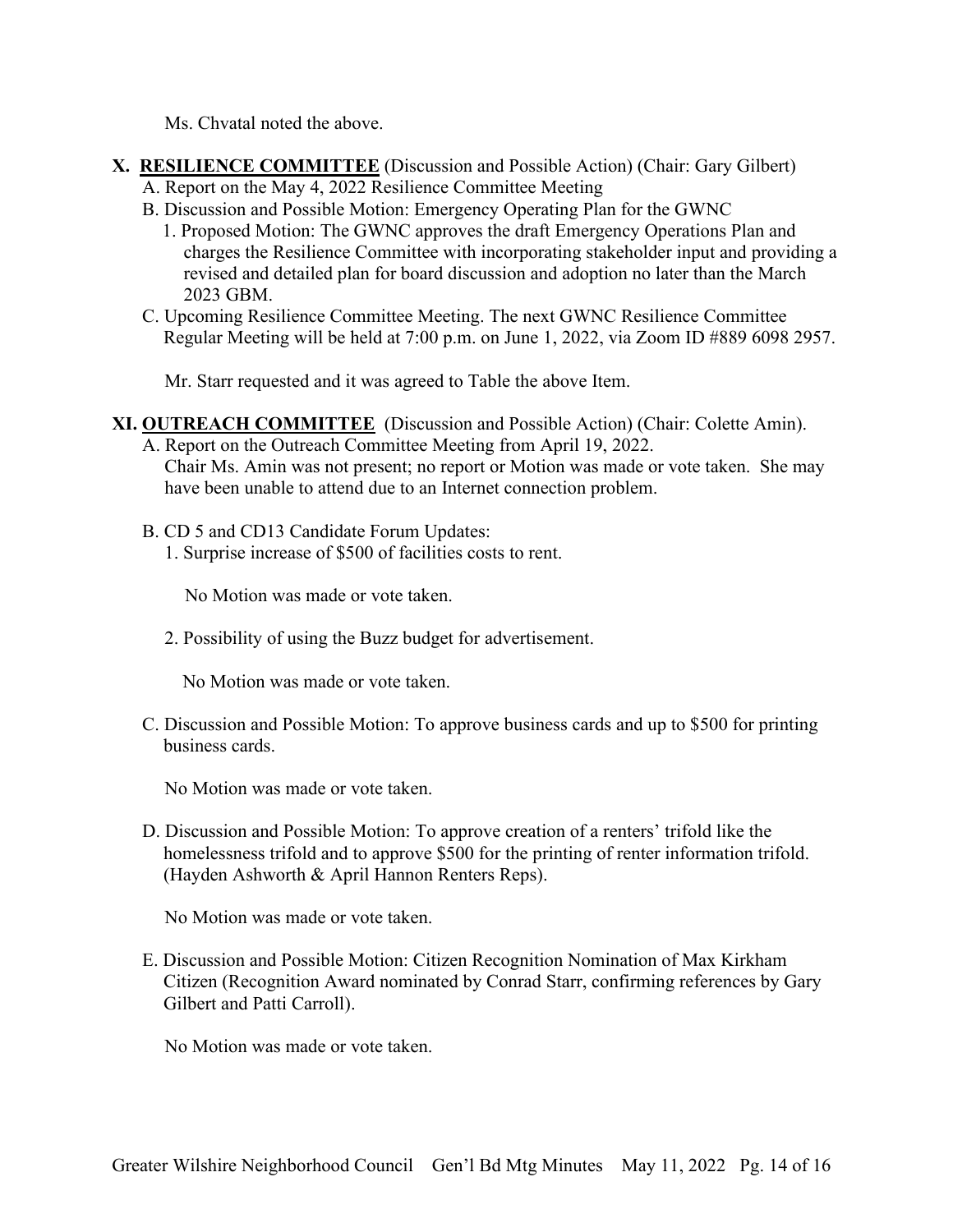Ms. Chvatal noted the above.

- **X. RESILIENCE COMMITTEE** (Discussion and Possible Action) (Chair: Gary Gilbert) A. Report on the May 4, 2022 Resilience Committee Meeting
	- B. Discussion and Possible Motion: Emergency Operating Plan for the GWNC
		- 1. Proposed Motion: The GWNC approves the draft Emergency Operations Plan and charges the Resilience Committee with incorporating stakeholder input and providing a revised and detailed plan for board discussion and adoption no later than the March 2023 GBM.
	- C. Upcoming Resilience Committee Meeting. The next GWNC Resilience Committee Regular Meeting will be held at 7:00 p.m. on June 1, 2022, via Zoom ID #889 6098 2957.

Mr. Starr requested and it was agreed to Table the above Item.

#### **XI. OUTREACH COMMITTEE** (Discussion and Possible Action) (Chair: Colette Amin).

- A. Report on the Outreach Committee Meeting from April 19, 2022. Chair Ms. Amin was not present; no report or Motion was made or vote taken. She may have been unable to attend due to an Internet connection problem.
- B. CD 5 and CD13 Candidate Forum Updates: 1. Surprise increase of \$500 of facilities costs to rent.

No Motion was made or vote taken.

2. Possibility of using the Buzz budget for advertisement.

No Motion was made or vote taken.

C. Discussion and Possible Motion: To approve business cards and up to \$500 for printing business cards.

No Motion was made or vote taken.

D. Discussion and Possible Motion: To approve creation of a renters' trifold like the homelessness trifold and to approve \$500 for the printing of renter information trifold. (Hayden Ashworth & April Hannon Renters Reps).

No Motion was made or vote taken.

E. Discussion and Possible Motion: Citizen Recognition Nomination of Max Kirkham Citizen (Recognition Award nominated by Conrad Starr, confirming references by Gary Gilbert and Patti Carroll).

No Motion was made or vote taken.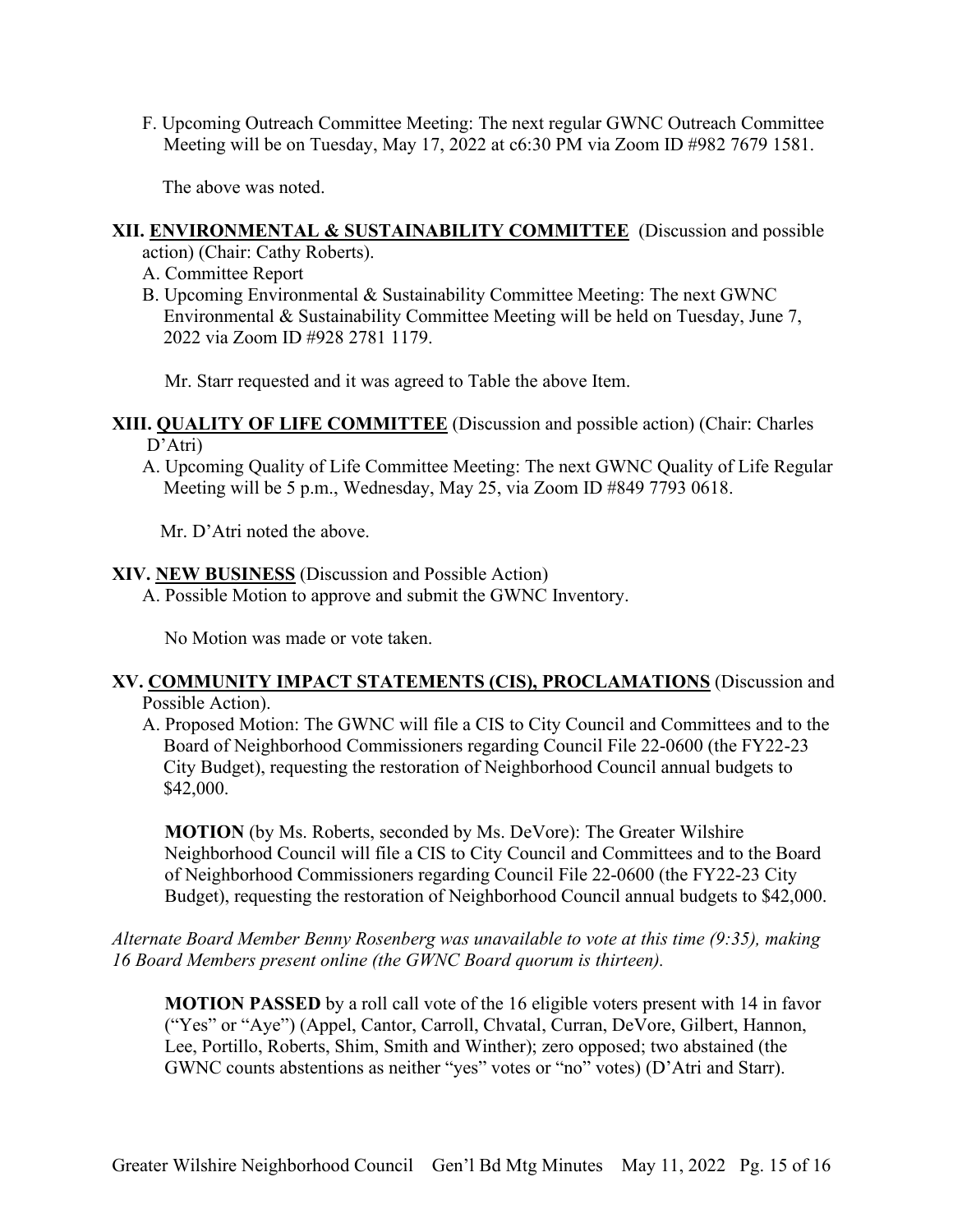F. Upcoming Outreach Committee Meeting: The next regular GWNC Outreach Committee Meeting will be on Tuesday, May 17, 2022 at c6:30 PM via Zoom ID #982 7679 1581.

The above was noted.

#### **XII. ENVIRONMENTAL & SUSTAINABILITY COMMITTEE** (Discussion and possible

action) (Chair: Cathy Roberts).

- A. Committee Report
- B. Upcoming Environmental & Sustainability Committee Meeting: The next GWNC Environmental & Sustainability Committee Meeting will be held on Tuesday, June 7, 2022 via Zoom ID #928 2781 1179.

Mr. Starr requested and it was agreed to Table the above Item.

#### **XIII. QUALITY OF LIFE COMMITTEE** (Discussion and possible action) (Chair: Charles D'Atri)

A. Upcoming Quality of Life Committee Meeting: The next GWNC Quality of Life Regular Meeting will be 5 p.m., Wednesday, May 25, via Zoom ID #849 7793 0618.

Mr. D'Atri noted the above.

#### **XIV. NEW BUSINESS** (Discussion and Possible Action)

A. Possible Motion to approve and submit the GWNC Inventory.

No Motion was made or vote taken.

#### **XV. COMMUNITY IMPACT STATEMENTS (CIS), PROCLAMATIONS** (Discussion and Possible Action).

A. Proposed Motion: The GWNC will file a CIS to City Council and Committees and to the Board of Neighborhood Commissioners regarding Council File 22-0600 (the FY22-23 City Budget), requesting the restoration of Neighborhood Council annual budgets to \$42,000.

**MOTION** (by Ms. Roberts, seconded by Ms. DeVore): The Greater Wilshire Neighborhood Council will file a CIS to City Council and Committees and to the Board of Neighborhood Commissioners regarding Council File 22-0600 (the FY22-23 City Budget), requesting the restoration of Neighborhood Council annual budgets to \$42,000.

## *Alternate Board Member Benny Rosenberg was unavailable to vote at this time (9:35), making 16 Board Members present online (the GWNC Board quorum is thirteen).*

**MOTION PASSED** by a roll call vote of the 16 eligible voters present with 14 in favor ("Yes" or "Aye") (Appel, Cantor, Carroll, Chvatal, Curran, DeVore, Gilbert, Hannon, Lee, Portillo, Roberts, Shim, Smith and Winther); zero opposed; two abstained (the GWNC counts abstentions as neither "yes" votes or "no" votes) (D'Atri and Starr).